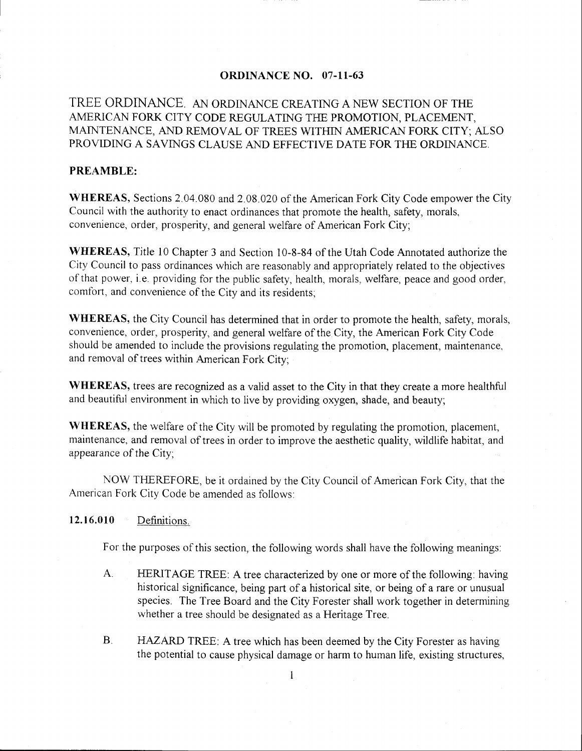### **ORDINANCE NO. 07-11-63**

# TREE ORDINANCE. AN ORDINANCE CREATING A NEW SECTION OF THE AMERICAN FORK CITY CODE REGULATING THE PROMOTION, PLACEMENT, MAINTENANCE, AND REMOVAL OF TREES WITHIN AMERICAN FORK CITY; ALSO PROVIDING A SAVINGS CLAUSE AND EFFECTIVE DATE FOR THE ORDINANCE.

### PREAMBLE:

WHEREAS, Sections 2.04.080 and 2.08.020 of the American Fork City Code empower the City Council with the authority to enact ordinances that promote the health, safety, morals, convenience, order, prosperity, and general welfare of American Fork City;

WHEREAS, Title l0 Chapter 3 and Section 10-8-84 of the Utah Code Annotated authorize the City Council to pass ordinances which are reasonably and appropriately related to the objectives of that power, i.e. providing for the public safety, health, morals, welfare, peace and good order, comfort, and convenience of the City and its residents,

WHEREAS, the City Council has determined that in order to promote the health, safety, morals, convenience, order, prosperity, and general welfare of the City, the American Fork City Code should be amended to include the provisions regulating the promotion, placement, maintenance, and removal of trees within American Fork City;

WHEREAS, trees are recognized as a valid asset to the City in that they create a more healthful and beautiful environment in which to live by providing oxygen, shade, and beauty;

WHEREAS, the welfare of the City will be promoted by regulating the promotion, placement, maintenance, and removal of trees in order to improve the aesthetic quality, wildlife habitat, and appearance of the City;

NOW THEREFORE, be it ordained by the City Council of American Fork City, that the American Fork City Code be amended as follows:

## 12.16.010 Definitions.

For the purposes of this section, the following words shall have the following meanings:

- A. HERITAGE TREE: A tree characterized by one or more of the following: having historical significance, being part of a historical site, or being of a rare or unusual species. The Tree Board and the City Forester shall work together in determining whether a tree should be designated as a Heritage Tree.
- B. HAZARD TREE: A tree which has been deemed by the City Forester as having the potential to cause physical damage or harm to human life, existing structures,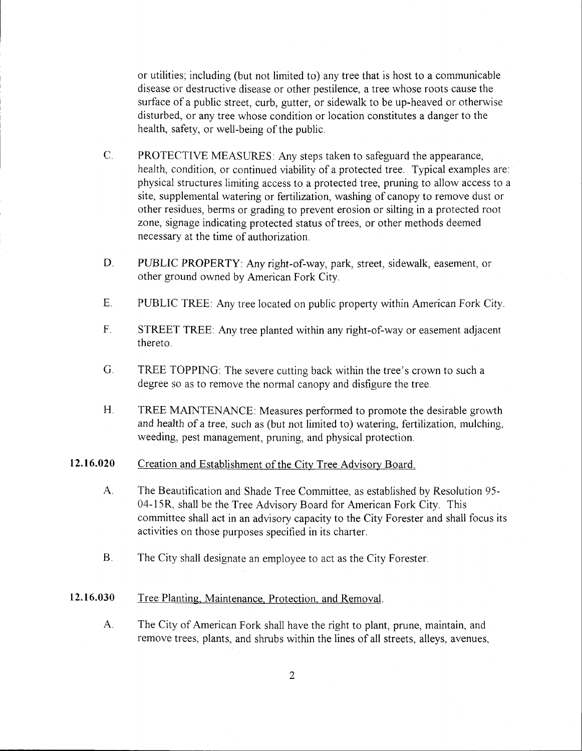or utilities; including (but not limited to) any tree that is host to a communicable disease or destructive disease or other pestilence, a tree whose roots cause the surface of a public street, curb, gutter, or sidewalk to be up-heaved or otherwise disturbed, or any tree whose condition or location constitutes a danger to the health, safety, or well-being of the public.

- $C_{\cdot}$ PROTECTIVE MEASURES. Any steps taken to safeguard the appearance, health, condition, or continued viability of a protected tree. Typical examples are: physical structures limiting aceess to a protected tree, pruning to allow access to a site, supplemental watering or fertilization, washing of canopy to remove dust or other residues, berms or grading to prevent erosion or silting in a protected root zone, signage indicating protected status of trees, or other methods deemed necessary at the time of authorization.
- PLBLIC PROPERTY. Any right-of-way, park, street, sidewalk, easement, or other ground owned by American Fork City. D.
- PUBLIC TREE: Any tree located on public property within American Fork City. E.
- STREET TREE: Any tree planted within any right-of-way or easement adjacent thereto. F
- TREE TOPPING: The severe cutting back within the tree's crown to such a degree so as to remove the normal canopy and disfigure the tree. G
- TREE MAINTENANCE: Measures performed to promote the desirable growth and health of a tree, such as (but not limited to) watering, fertilization, mulching, weeding, pest management, pruning, and physical protection.  $H<sub>r</sub>$

#### Creation and Establishment of the City Tree Advisory Board. t2.16.020

- The Beautification and Shade Tree Committee, as established by Resolution 95-04-15R, shall be the Tree Advisory Board for American Fork City. This committee shall act in an advisory capacity to the City Forester and shall focus its activities on those purposes specified in its charter,  $A_{\cdot}$
- The City shall designate an employee to act as the City Forester. B

#### Tree Planting, Maintenance, Protection, and Removal. 12.16.030

The City of American Fork shall have the right to plant, prune, maintain, and remove trees, plants, and shrubs within the lines of all streets, alleys, avenues,  $A_{\cdot}$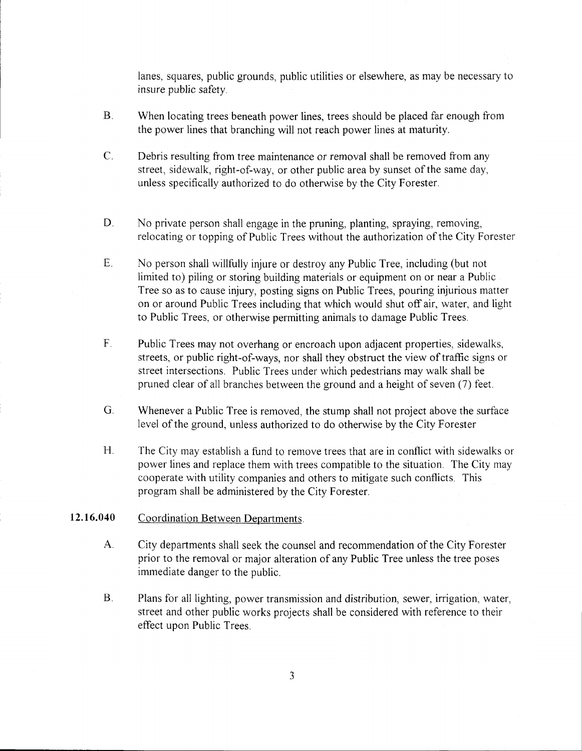lanes, squares, public grounds, public utilities or elsewhere, as may be necessary to insure public safety,

- $B<sub>1</sub>$ When locating trees beneath power lines, trees should be placed far enough from the power lines that branching will not reach power lines at maturity.
- $\overline{C}$ . Debris resulting from tree maintenance or removal shall be removed from any street, sidewalk, right-of-way, or other public area by sunset of the same day, unless specifically authorized to do otherwise by the City Forester.
- D. No private person shall engage in the pruning, planting, spraying, removing, relocating or topping of Public Trees without the authorization of the City Forester
- No person shall willfully injure or destroy any Public Tree, including (but not limited to) piling or storing building materials or equipment on or near a Public Tree so as to cause injury, posting signs on Public Trees, pouring injurious matter on or around Public Trees including that which would shut offair, water, and light to Public Trees, or otherwise permitting animals to damage Public Trees. E
- Public Trees may not overhang or encroach upon adjacent properties, sidewalks, streets, or public right-of-ways, nor shall they obstruct the view of traffic signs or street intersections, Public Trees under which pedestrians may walk shall be pruned clear of all branches between the ground and a height of seven (7) feet. F
- $G<sub>1</sub>$ Whenever a Public Tree is removed, the stump shall not project above the surface level of the ground, unless authorized to do otherwise by the City Forester
- $H_{\cdot}$ The City may establish a fund to remove trees that are in conflict with sidewalks or power lines and replace them with trees compatible to the situation. The City may cooperate with utility companies and others to mitigate such conflicts. This program shall be administered by the City Forester.

#### Coordination Between Departments. 12.16.040

- City departments shall seek the counsel and recommendation of the City Forester prior to the removal or major alteration of any Public Tree unless the tree poses immediate danger to the public.  $A_{\cdot}$
- Plans for all lighting, power transmission and distribution, sewer, irrigation, water, street and other public works projects shall be considered with reference to their effect upon Public Trees.  $B<sub>1</sub>$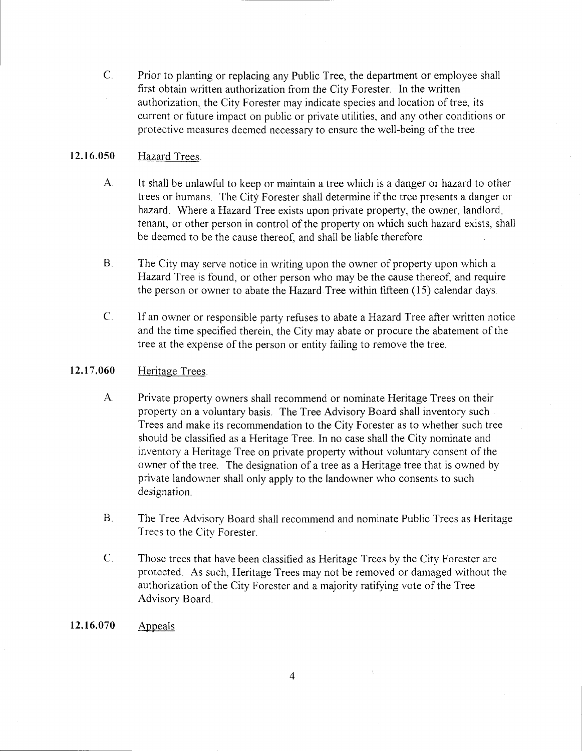$C_{-}$ Prior to planting or replacing any Public Tree, the department or employee shall first obtain written authorization from the City Forester. In the written authorization, the City Forester may indicate species and location of tree, its current or future impact on public or private utilities, and any other conditions or protective measures deemed necessary to ensure the well-being of the tree.

#### 12.16.050 Hazard Trees.

- $A_{\cdot}$ It shall be unlawful to keep or maintain a tree which is a danger or hazard to other trees or humans. The City Forester shall determine if the tree presents a danger or hazard. Where a Hazard Tree exists upon private property, the owner, landlord, tenant, or other person in control of the property on which such hazard exists, shall be deemed to be the cause thereof, and shall be liable therefore.
- $B<sub>1</sub>$ The City may serve notice in writing upon the owner of property upon which a Hazard Tree is found, or other person who may be the cause thereof, and require the person or owner to abate the Hazard Tree within fifteen  $(15)$  calendar days.
- $\mathsf{C}$ . If an owner or responsible party refuses to abate a Hazard Tree after written notice and the time specified therein, the City may abate or procure the abatement of the tree at the expense of the person or entity failing to remove the tree.

#### 12.17.060 Heritage Trees.

- A Private property owners shall recommend or nominate Heritage Trees on their property on a voluntary basis. The Tree Advisory Board shall inventory such Trees and make its recommendation to the City Forester as to whether such tree should be classified as a Heritage Tree. In no ease shall the City nominate and inventory a Heritage Tree on private property without voluntary consent of the owner of the tree. The designation of a tree as a Heritage tree that is owned by private landowner shall only apply to the landowner who consents to such designation.
- $B<sub>1</sub>$ The Tree Advisory Board shall recommend and nominate Public Trees as Heritage Trees to the City Forester.
- $C_{\cdot}$ Those trees that have been classified as Heritage Trees by the City Forester are protected. As such, Heritage Trees may not be removed or damaged without the authorization of the City Forester and a majority ratifying vote of the Tree Advisory Board.
- 12.16.070 Appeals.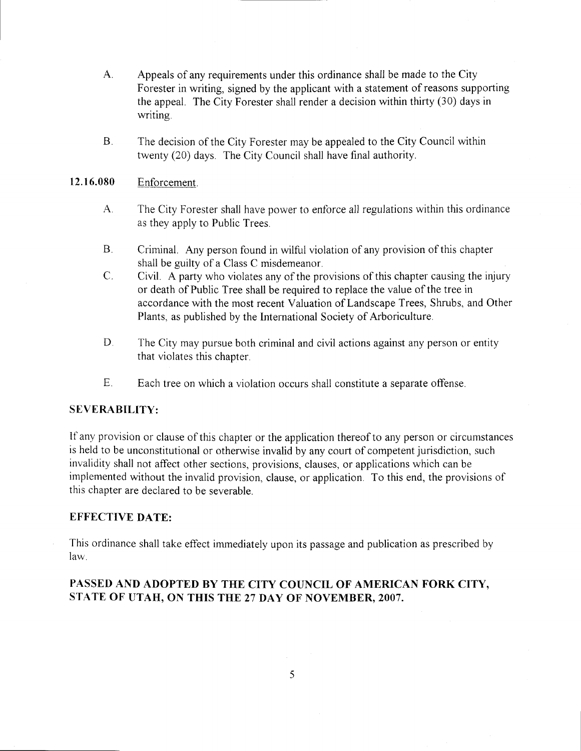- A. Appeals of any requirements under this ordinance shall be made to the City Forester in writing, signed by the applicant with a statement of reasons supporting the appeal. The City Forester shall render a decision within thirty (30) days in writing.
- B. The decision of the City Forester may be appealed to the City Council within twenty (20) days. The City Council shall have final authority.

# 12.16.080 Enforcement.

- A. The City Forester shall have power to enforce all regulations within this ordinance as they apply to Public Trees.
- B. Criminal. Any person found in wilful violation of any provision of this chapter shall be guilty of a Class C misdemeanor.
- C. Civil. A party who violates any of the provisions of this chapter causing the injury or death of Public Tree shall be required to replace the value of the tree in accordance with the most recent Valuation of Landscape Trees, Shrubs, and Other Plants, as published by the International Society of Arboriculture.
- D. The City may pursue both criminal and civil actions against any person or entity that violates this chapter.
- E. Each tree on which a violation occurs shall constitute a separate offense.

## SEVERABILITY:

lf any provision or clause of this chapter or the application thereof to any person or circumstances is held to be unconstitutional or otherwise invalid by any court of competent jurisdiction, such invalidity shall not affect other sections, provisions, clauses, or applications which can be implemented without the invalid provision, clause, or application. To this end, the provisions of this chapter are declared to be severable.

## EFFECTIVE DATE:

This ordinance shall take effect immediately upon its passage and publication as prescribed by law

# PASSED AND ADOPTED BY THE CITY COUNCIL OF AMERICAN FORK CITY, STATE OF UTAH, ON THIS THE 27 DAY OF NOVEMBER, 2007.